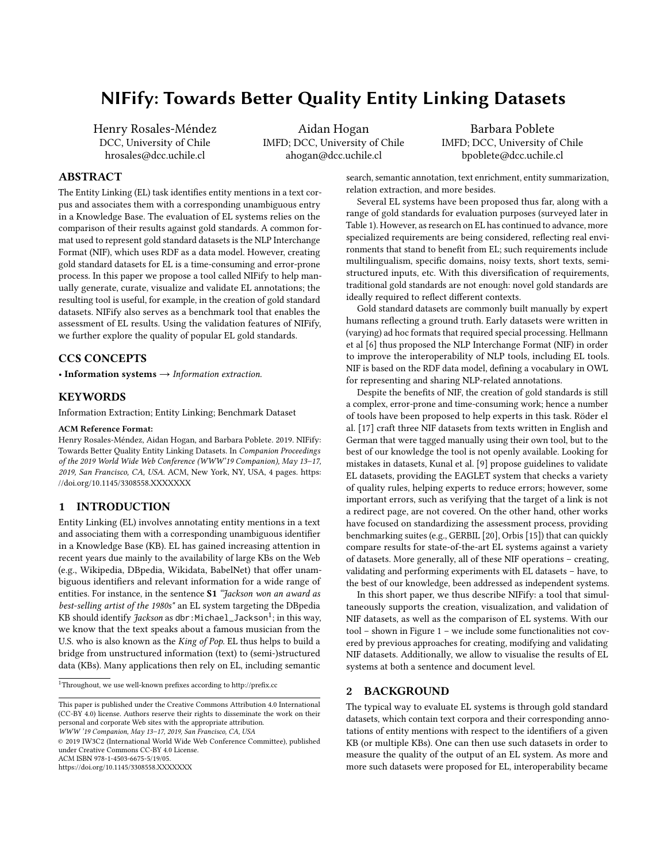# NIFify: Towards Better Quality Entity Linking Datasets

Henry Rosales-Méndez DCC, University of Chile hrosales@dcc.uchile.cl

Aidan Hogan IMFD; DCC, University of Chile ahogan@dcc.uchile.cl

Barbara Poblete IMFD; DCC, University of Chile bpoblete@dcc.uchile.cl

# ABSTRACT

The Entity Linking (EL) task identifies entity mentions in a text corpus and associates them with a corresponding unambiguous entry in a Knowledge Base. The evaluation of EL systems relies on the comparison of their results against gold standards. A common format used to represent gold standard datasets is the NLP Interchange Format (NIF), which uses RDF as a data model. However, creating gold standard datasets for EL is a time-consuming and error-prone process. In this paper we propose a tool called NIFify to help manually generate, curate, visualize and validate EL annotations; the resulting tool is useful, for example, in the creation of gold standard datasets. NIFify also serves as a benchmark tool that enables the assessment of EL results. Using the validation features of NIFify, we further explore the quality of popular EL gold standards.

# CCS CONCEPTS

• Information systems  $\rightarrow$  Information extraction.

# **KEYWORDS**

Information Extraction; Entity Linking; Benchmark Dataset

#### ACM Reference Format:

Henry Rosales-Méndez, Aidan Hogan, and Barbara Poblete. 2019. NIFify: Towards Better Quality Entity Linking Datasets. In Companion Proceedings of the 2019 World Wide Web Conference (WWW'19 Companion), May 13–17, 2019, San Francisco, CA, USA. ACM, New York, NY, USA, [4](#page-3-0) pages. [https:](https://doi.org/10.1145/3308558.XXXXXXX) [//doi.org/10.1145/3308558.XXXXXXX](https://doi.org/10.1145/3308558.XXXXXXX)

## 1 INTRODUCTION

Entity Linking (EL) involves annotating entity mentions in a text and associating them with a corresponding unambiguous identifier in a Knowledge Base (KB). EL has gained increasing attention in recent years due mainly to the availability of large KBs on the Web (e.g., Wikipedia, DBpedia, Wikidata, BabelNet) that offer unambiguous identifiers and relevant information for a wide range of entities. For instance, in the sentence S1 "Jackson won an award as best-selling artist of the 1980s" an EL system targeting the DBpedia KB should identify  $\mathcal{J}$ ackson as dbr : Michae $1\_$  $1\_$ Jackson $^1$ ; in this way, we know that the text speaks about a famous musician from the U.S. who is also known as the King of Pop. EL thus helps to build a bridge from unstructured information (text) to (semi-)structured data (KBs). Many applications then rely on EL, including semantic

<span id="page-0-0"></span> $^{\rm 1}$  Throughout, we use well-known prefixes according to<http://prefix.cc>

This paper is published under the Creative Commons Attribution 4.0 International (CC-BY 4.0) license. Authors reserve their rights to disseminate the work on their personal and corporate Web sites with the appropriate attribution. WWW '19 Companion, May 13–17, 2019, San Francisco, CA, USA

© 2019 IW3C2 (International World Wide Web Conference Committee), published under Creative Commons CC-BY 4.0 License.

ACM ISBN 978-1-4503-6675-5/19/05.

<https://doi.org/10.1145/3308558.XXXXXXX>

search, semantic annotation, text enrichment, entity summarization, relation extraction, and more besides.

Several EL systems have been proposed thus far, along with a range of gold standards for evaluation purposes (surveyed later in Table [1\)](#page-1-0). However, as research on EL has continued to advance, more specialized requirements are being considered, reflecting real environments that stand to benefit from EL; such requirements include multilingualism, specific domains, noisy texts, short texts, semistructured inputs, etc. With this diversification of requirements, traditional gold standards are not enough: novel gold standards are ideally required to reflect different contexts.

Gold standard datasets are commonly built manually by expert humans reflecting a ground truth. Early datasets were written in (varying) ad hoc formats that required special processing. Hellmann et al [\[6\]](#page-3-1) thus proposed the NLP Interchange Format (NIF) in order to improve the interoperability of NLP tools, including EL tools. NIF is based on the RDF data model, defining a vocabulary in OWL for representing and sharing NLP-related annotations.

Despite the benefits of NIF, the creation of gold standards is still a complex, error-prone and time-consuming work; hence a number of tools have been proposed to help experts in this task. Röder el al. [\[17\]](#page-3-2) craft three NIF datasets from texts written in English and German that were tagged manually using their own tool, but to the best of our knowledge the tool is not openly available. Looking for mistakes in datasets, Kunal et al. [\[9\]](#page-3-3) propose guidelines to validate EL datasets, providing the EAGLET system that checks a variety of quality rules, helping experts to reduce errors; however, some important errors, such as verifying that the target of a link is not a redirect page, are not covered. On the other hand, other works have focused on standardizing the assessment process, providing benchmarking suites (e.g., GERBIL [\[20\]](#page-3-4), Orbis [\[15\]](#page-3-5)) that can quickly compare results for state-of-the-art EL systems against a variety of datasets. More generally, all of these NIF operations – creating, validating and performing experiments with EL datasets – have, to the best of our knowledge, been addressed as independent systems.

In this short paper, we thus describe NIFify: a tool that simultaneously supports the creation, visualization, and validation of NIF datasets, as well as the comparison of EL systems. With our tool – shown in Figure 1 – we include some functionalities not covered by previous approaches for creating, modifying and validating NIF datasets. Additionally, we allow to visualise the results of EL systems at both a sentence and document level.

#### 2 BACKGROUND

The typical way to evaluate EL systems is through gold standard datasets, which contain text corpora and their corresponding annotations of entity mentions with respect to the identifiers of a given KB (or multiple KBs). One can then use such datasets in order to measure the quality of the output of an EL system. As more and more such datasets were proposed for EL, interoperability became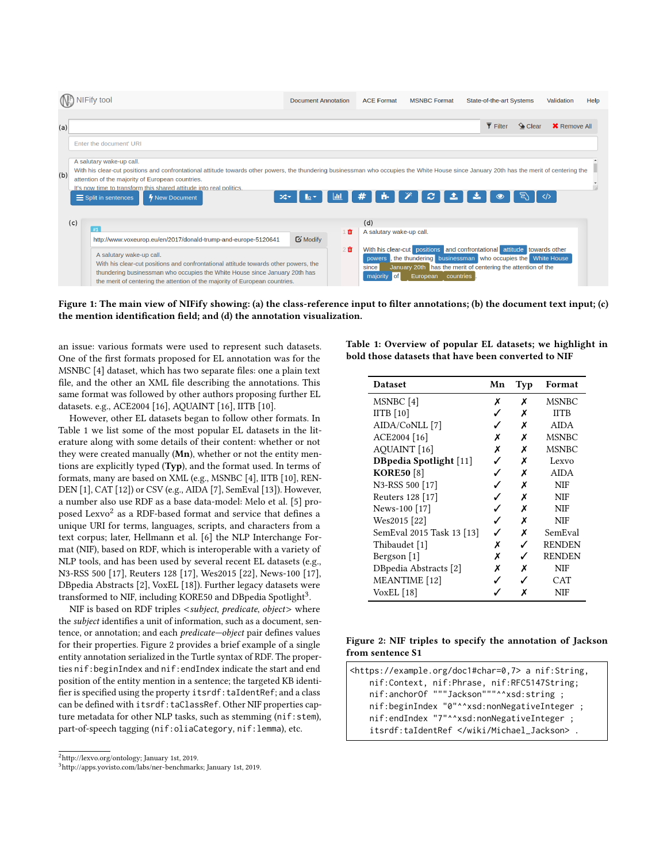

Figure 1: The main view of NIFify showing: (a) the class-reference input to filter annotations; (b) the document text input; (c) the mention identification field; and (d) the annotation visualization.

an issue: various formats were used to represent such datasets. One of the first formats proposed for EL annotation was for the MSNBC [\[4\]](#page-3-6) dataset, which has two separate files: one a plain text file, and the other an XML file describing the annotations. This same format was followed by other authors proposing further EL datasets. e.g., ACE2004 [\[16\]](#page-3-7), AQUAINT [\[16\]](#page-3-7), IITB [\[10\]](#page-3-8).

However, other EL datasets began to follow other formats. In Table [1](#page-1-0) we list some of the most popular EL datasets in the literature along with some details of their content: whether or not they were created manually (Mn), whether or not the entity mentions are explicitly typed (Typ), and the format used. In terms of formats, many are based on XML (e.g., MSNBC [\[4\]](#page-3-6), IITB [\[10\]](#page-3-8), REN-DEN [\[1\]](#page-3-9), CAT [\[12\]](#page-3-10)) or CSV (e.g., AIDA [\[7\]](#page-3-11), SemEval [\[13\]](#page-3-12)). However, a number also use RDF as a base data-model: Melo et al. [\[5\]](#page-3-13) proposed  $Lexo<sup>2</sup>$  $Lexo<sup>2</sup>$  $Lexo<sup>2</sup>$  as a RDF-based format and service that defines a unique URI for terms, languages, scripts, and characters from a text corpus; later, Hellmann et al. [\[6\]](#page-3-1) the NLP Interchange Format (NIF), based on RDF, which is interoperable with a variety of NLP tools, and has been used by several recent EL datasets (e.g., N3-RSS 500 [\[17\]](#page-3-2), Reuters 128 [\[17\]](#page-3-2), Wes2015 [\[22\]](#page-3-14), News-100 [\[17\]](#page-3-2), DBpedia Abstracts [\[2\]](#page-3-15), VoxEL [\[18\]](#page-3-16)). Further legacy datasets were transformed to NIF, including KORE50 and DBpedia Spotlight<sup>[3](#page-1-2)</sup>.

NIF is based on RDF triples <subject, predicate, object> where the subject identifies a unit of information, such as a document, sentence, or annotation; and each predicate—object pair defines values for their properties. Figure [2](#page-1-3) provides a brief example of a single entity annotation serialized in the Turtle syntax of RDF. The properties nif:beginIndex and nif:endIndex indicate the start and end position of the entity mention in a sentence; the targeted KB identifier is specified using the property itsrdf: taIdentRef; and a class can be defined with itsrdf: taClassRef. Other NIF properties capture metadata for other NLP tasks, such as stemming (nif:stem), part-of-speech tagging (nif:oliaCategory, nif:lemma), etc.

<span id="page-1-0"></span>Table 1: Overview of popular EL datasets; we highlight in bold those datasets that have been converted to NIF

| <b>Dataset</b>                | Mn | <b>Typ</b>       | Format       |  |
|-------------------------------|----|------------------|--------------|--|
| MSNBC [4]                     | х  | х                | <b>MSNBC</b> |  |
| IITB $[10]$                   |    | <b>IITB</b><br>х |              |  |
| AIDA/CoNLL [7]                |    | х                | <b>AIDA</b>  |  |
| ACE2004 [16]                  | х  | х                | <b>MSNBC</b> |  |
| AQUAINT [16]                  | х  | х                | <b>MSNBC</b> |  |
| <b>DBpedia Spotlight</b> [11] |    | х                | Lexvo        |  |
| <b>KORE50</b> [8]             |    | х                | <b>AIDA</b>  |  |
| N3-RSS 500 [17]               |    | х                | <b>NIF</b>   |  |
| Reuters 128 [17]              |    | х                | <b>NIF</b>   |  |
| News-100 [17]                 |    | x                | <b>NIF</b>   |  |
| Wes2015 [22]                  |    | х                | <b>NIF</b>   |  |
| SemEval 2015 Task 13 [13]     |    | х                | SemEval      |  |
| Thibaudet [1]                 | х  | RENDEN           |              |  |
| Bergson [1]                   | х  | <b>RENDEN</b>    |              |  |
| DBpedia Abstracts [2]         | х  | х                | <b>NIF</b>   |  |
| MEANTIME [12]                 |    | CAT              |              |  |
| VoxEL $[18]$                  |    | NIF<br>х         |              |  |

## <span id="page-1-3"></span>Figure 2: NIF triples to specify the annotation of Jackson from sentence S1

| <https: doc1#char="0.7" example.org=""> a nif:String.</https:> |
|----------------------------------------------------------------|
| nif:Context, nif:Phrase, nif:RFC5147String;                    |
| nif:anchorOf """Jackson"""^^xsd:string;                        |
| nif:beginIndex "0"^^xsd:nonNegativeInteger ;                   |
| nif:endIndex "7"^^xsd:nonNegativeInteger;                      |
| itsrdf:taIdentRef  .                                           |

<span id="page-1-1"></span><sup>2</sup>[http://lexvo.org/ontology;](http://lexvo.org/ontology) January 1st, 2019.

<span id="page-1-2"></span><sup>3</sup>[http://apps.yovisto.com/labs/ner-benchmarks;](http://apps.yovisto.com/labs/ner-benchmarks) January 1st, 2019.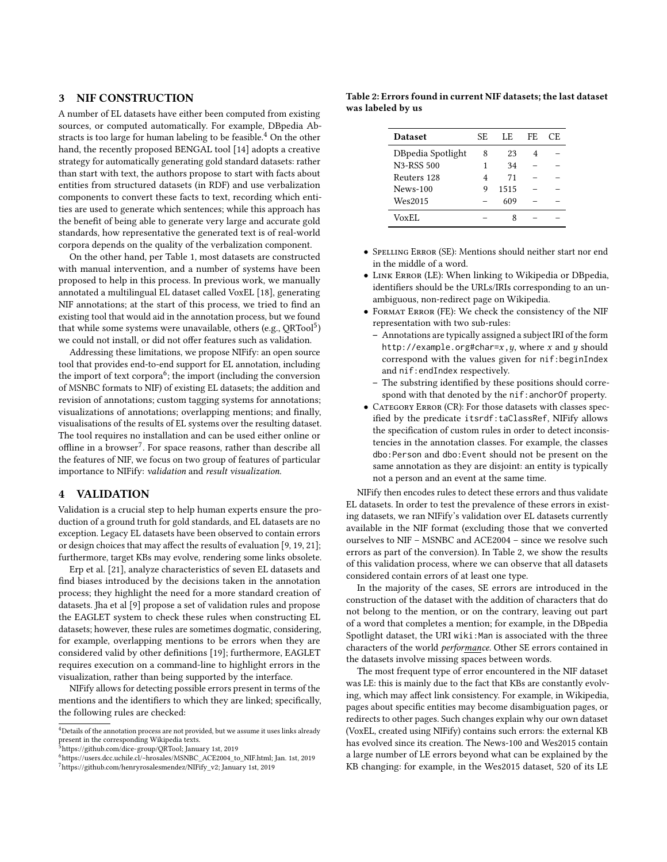## 3 NIF CONSTRUCTION

A number of EL datasets have either been computed from existing sources, or computed automatically. For example, DBpedia Ab-stracts is too large for human labeling to be feasible.<sup>[4](#page-2-0)</sup> On the other hand, the recently proposed BENGAL tool [\[14\]](#page-3-19) adopts a creative strategy for automatically generating gold standard datasets: rather than start with text, the authors propose to start with facts about entities from structured datasets (in RDF) and use verbalization components to convert these facts to text, recording which entities are used to generate which sentences; while this approach has the benefit of being able to generate very large and accurate gold standards, how representative the generated text is of real-world corpora depends on the quality of the verbalization component.

On the other hand, per Table [1,](#page-1-0) most datasets are constructed with manual intervention, and a number of systems have been proposed to help in this process. In previous work, we manually annotated a multilingual EL dataset called VoxEL [\[18\]](#page-3-16), generating NIF annotations; at the start of this process, we tried to find an existing tool that would aid in the annotation process, but we found that while some systems were unavailable, others (e.g., QRTool<sup>[5](#page-2-1)</sup>) we could not install, or did not offer features such as validation.

Addressing these limitations, we propose NIFify: an open source tool that provides end-to-end support for EL annotation, including the import of text corpora<sup>[6](#page-2-2)</sup>; the import (including the conversion of MSNBC formats to NIF) of existing EL datasets; the addition and revision of annotations; custom tagging systems for annotations; visualizations of annotations; overlapping mentions; and finally, visualisations of the results of EL systems over the resulting dataset. The tool requires no installation and can be used either online or offline in a browser<sup>[7](#page-2-3)</sup>. For space reasons, rather than describe all the features of NIF, we focus on two group of features of particular importance to NIFify: validation and result visualization.

## 4 VALIDATION

Validation is a crucial step to help human experts ensure the production of a ground truth for gold standards, and EL datasets are no exception. Legacy EL datasets have been observed to contain errors or design choices that may affect the results of evaluation [\[9,](#page-3-3) [19,](#page-3-20) [21\]](#page-3-21); furthermore, target KBs may evolve, rendering some links obsolete.

Erp et al. [\[21\]](#page-3-21), analyze characteristics of seven EL datasets and find biases introduced by the decisions taken in the annotation process; they highlight the need for a more standard creation of datasets. Jha et al [\[9\]](#page-3-3) propose a set of validation rules and propose the EAGLET system to check these rules when constructing EL datasets; however, these rules are sometimes dogmatic, considering, for example, overlapping mentions to be errors when they are considered valid by other definitions [\[19\]](#page-3-20); furthermore, EAGLET requires execution on a command-line to highlight errors in the visualization, rather than being supported by the interface.

NIFify allows for detecting possible errors present in terms of the mentions and the identifiers to which they are linked; specifically, the following rules are checked:

<span id="page-2-4"></span>Table 2: Errors found in current NIF datasets; the last dataset was labeled by us

| <b>Dataset</b>    | SE. | LE.  | FF. | CE. |
|-------------------|-----|------|-----|-----|
| DBpedia Spotlight | 8   | 23   | 4   |     |
| N3-RSS 500        |     | 34   |     |     |
| Reuters 128       | 4   | 71   |     |     |
| $News-100$        | 9   | 1515 |     |     |
| Wes2015           |     | 609  |     |     |
| VoxEL.            |     |      |     |     |

- SPELLING ERROR (SE): Mentions should neither start nor end in the middle of a word.
- Link Error (LE): When linking to Wikipedia or DBpedia, identifiers should be the URLs/IRIs corresponding to an unambiguous, non-redirect page on Wikipedia.
- Format Error (FE): We check the consistency of the NIF representation with two sub-rules:
	- Annotations are typically assigned a subject IRI of the form http://example.org#char= $x, y$ , where  $x$  and  $y$  should correspond with the values given for nif:beginIndex and nif:endIndex respectively.
	- The substring identified by these positions should correspond with that denoted by the nif:anchorOf property.
- CATEGORY ERROR (CR): For those datasets with classes specified by the predicate itsrdf:taClassRef, NIFify allows the specification of custom rules in order to detect inconsistencies in the annotation classes. For example, the classes dbo:Person and dbo:Event should not be present on the same annotation as they are disjoint: an entity is typically not a person and an event at the same time.

NIFify then encodes rules to detect these errors and thus validate EL datasets. In order to test the prevalence of these errors in existing datasets, we ran NIFify's validation over EL datasets currently available in the NIF format (excluding those that we converted ourselves to NIF – MSNBC and ACE2004 – since we resolve such errors as part of the conversion). In Table [2,](#page-2-4) we show the results of this validation process, where we can observe that all datasets considered contain errors of at least one type.

In the majority of the cases, SE errors are introduced in the construction of the dataset with the addition of characters that do not belong to the mention, or on the contrary, leaving out part of a word that completes a mention; for example, in the DBpedia Spotlight dataset, the URI wiki: Man is associated with the three characters of the world performance. Other SE errors contained in the datasets involve missing spaces between words.

The most frequent type of error encountered in the NIF dataset was LE: this is mainly due to the fact that KBs are constantly evolving, which may affect link consistency. For example, in Wikipedia, pages about specific entities may become disambiguation pages, or redirects to other pages. Such changes explain why our own dataset (VoxEL, created using NIFify) contains such errors: the external KB has evolved since its creation. The News-100 and Wes2015 contain a large number of LE errors beyond what can be explained by the KB changing: for example, in the Wes2015 dataset, 520 of its LE

<span id="page-2-0"></span> $^4\!$  Details of the annotation process are not provided, but we assume it uses links already present in the corresponding Wikipedia texts.

<span id="page-2-1"></span><sup>5</sup>[https://github.com/dice-group/QRTool;](https://github.com/dice-group/QRTool) January 1st, 2019

<span id="page-2-3"></span><span id="page-2-2"></span><sup>6</sup>[https://users.dcc.uchile.cl/~hrosales/MSNBC\\_ACE2004\\_to\\_NIF.html;](https://users.dcc.uchile.cl/~hrosales/MSNBC_ACE2004_to_NIF.html) Jan. 1st, 2019 <sup>7</sup>[https://github.com/henryrosalesmendez/NIFify\\_v2;](https://github.com/henryrosalesmendez/NIFify_v2) January 1st, 2019